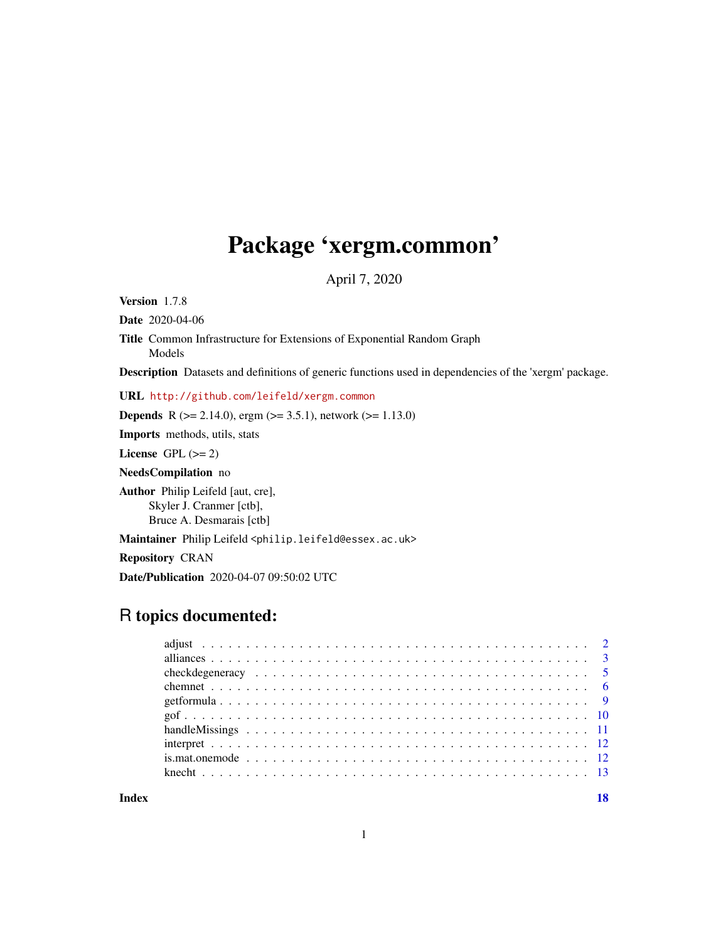# Package 'xergm.common'

April 7, 2020

<span id="page-0-0"></span>Version 1.7.8

Date 2020-04-06 Title Common Infrastructure for Extensions of Exponential Random Graph Models Description Datasets and definitions of generic functions used in dependencies of the 'xergm' package.

URL <http://github.com/leifeld/xergm.common>

**Depends** R ( $>= 2.14.0$ ), ergm ( $>= 3.5.1$ ), network ( $>= 1.13.0$ )

Imports methods, utils, stats

License GPL  $(>= 2)$ 

NeedsCompilation no

Author Philip Leifeld [aut, cre], Skyler J. Cranmer [ctb], Bruce A. Desmarais [ctb]

Maintainer Philip Leifeld <philip.leifeld@essex.ac.uk>

Repository CRAN

Date/Publication 2020-04-07 09:50:02 UTC

# R topics documented:

**Index** 2008 **[18](#page-17-0)**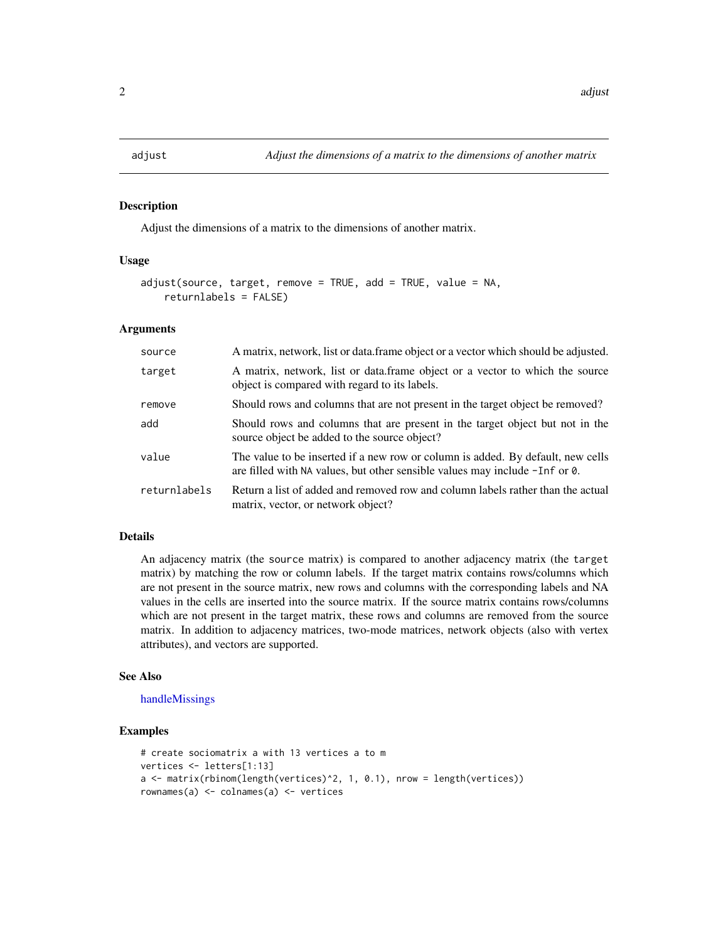#### <span id="page-1-1"></span><span id="page-1-0"></span>Description

Adjust the dimensions of a matrix to the dimensions of another matrix.

# Usage

```
adjust(source, target, remove = TRUE, add = TRUE, value = NA,returnlabels = FALSE)
```
#### Arguments

| source       | A matrix, network, list or data.frame object or a vector which should be adjusted.                                                                             |
|--------------|----------------------------------------------------------------------------------------------------------------------------------------------------------------|
| target       | A matrix, network, list or data frame object or a vector to which the source<br>object is compared with regard to its labels.                                  |
| remove       | Should rows and columns that are not present in the target object be removed?                                                                                  |
| add          | Should rows and columns that are present in the target object but not in the<br>source object be added to the source object?                                   |
| value        | The value to be inserted if a new row or column is added. By default, new cells<br>are filled with NA values, but other sensible values may include -Inf or 0. |
| returnlabels | Return a list of added and removed row and column labels rather than the actual<br>matrix, vector, or network object?                                          |

# Details

An adjacency matrix (the source matrix) is compared to another adjacency matrix (the target matrix) by matching the row or column labels. If the target matrix contains rows/columns which are not present in the source matrix, new rows and columns with the corresponding labels and NA values in the cells are inserted into the source matrix. If the source matrix contains rows/columns which are not present in the target matrix, these rows and columns are removed from the source matrix. In addition to adjacency matrices, two-mode matrices, network objects (also with vertex attributes), and vectors are supported.

# See Also

# [handleMissings](#page-10-1)

# Examples

```
# create sociomatrix a with 13 vertices a to m
vertices <- letters[1:13]
a <- matrix(rbinom(length(vertices)^2, 1, 0.1), nrow = length(vertices))
rownames(a) <- colnames(a) <- vertices
```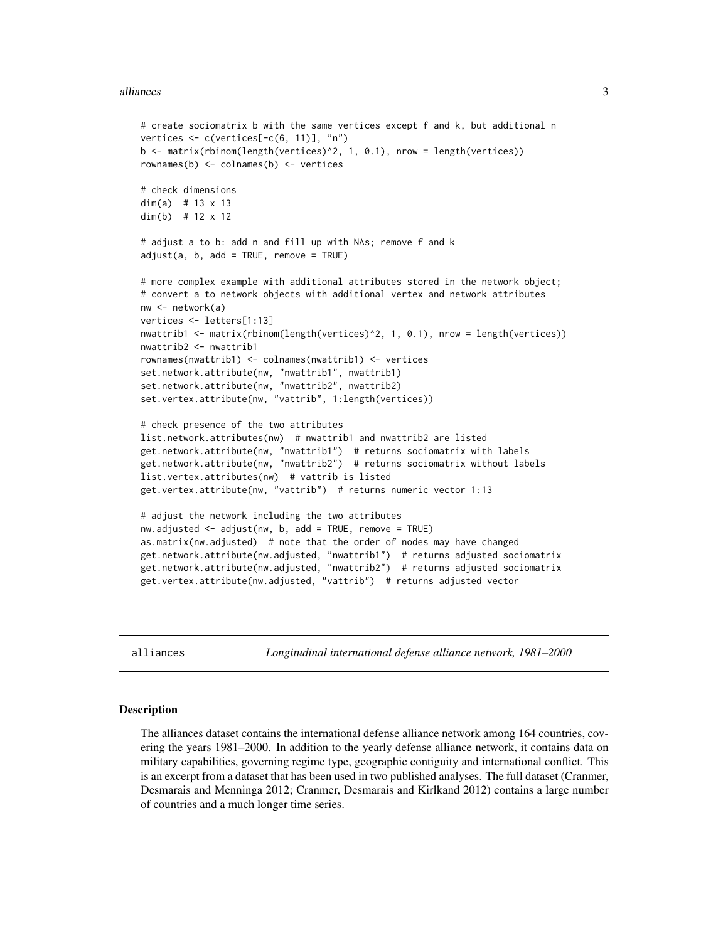#### <span id="page-2-0"></span>alliances 3

```
# create sociomatrix b with the same vertices except f and k, but additional n
vertices <- c(vertices[-c(6, 11)], "n")
b <- matrix(rbinom(length(vertices)^2, 1, 0.1), nrow = length(vertices))
rownames(b) <- colnames(b) <- vertices
# check dimensions
dim(a) # 13 \times 13dim(b) # 12 x 12
# adjust a to b: add n and fill up with NAs; remove f and k
adjust(a, b, add = TRUE, remove = TRUE)# more complex example with additional attributes stored in the network object;
# convert a to network objects with additional vertex and network attributes
nw <- network(a)
vertices <- letters[1:13]
nwattrib1 <- matrix(rbinom(length(vertices)^2, 1, 0.1), nrow = length(vertices))
nwattrib2 <- nwattrib1
rownames(nwattrib1) <- colnames(nwattrib1) <- vertices
set.network.attribute(nw, "nwattrib1", nwattrib1)
set.network.attribute(nw, "nwattrib2", nwattrib2)
set.vertex.attribute(nw, "vattrib", 1:length(vertices))
# check presence of the two attributes
list.network.attributes(nw) # nwattrib1 and nwattrib2 are listed
get.network.attribute(nw, "nwattrib1") # returns sociomatrix with labels
get.network.attribute(nw, "nwattrib2") # returns sociomatrix without labels
list.vertex.attributes(nw) # vattrib is listed
get.vertex.attribute(nw, "vattrib") # returns numeric vector 1:13
# adjust the network including the two attributes
nw.adjusted <- adjust(nw, b, add = TRUE, remove = TRUE)
as.matrix(nw.adjusted) # note that the order of nodes may have changed
get.network.attribute(nw.adjusted, "nwattrib1") # returns adjusted sociomatrix
get.network.attribute(nw.adjusted, "nwattrib2") # returns adjusted sociomatrix
get.vertex.attribute(nw.adjusted, "vattrib") # returns adjusted vector
```
alliances *Longitudinal international defense alliance network, 1981–2000*

#### Description

The alliances dataset contains the international defense alliance network among 164 countries, covering the years 1981–2000. In addition to the yearly defense alliance network, it contains data on military capabilities, governing regime type, geographic contiguity and international conflict. This is an excerpt from a dataset that has been used in two published analyses. The full dataset (Cranmer, Desmarais and Menninga 2012; Cranmer, Desmarais and Kirlkand 2012) contains a large number of countries and a much longer time series.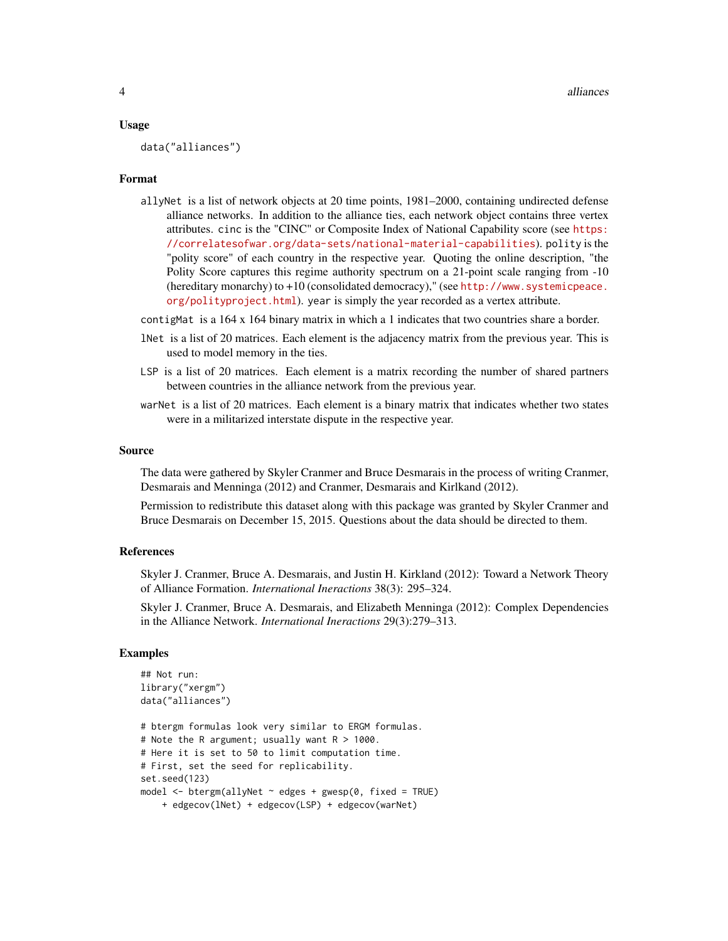#### Usage

data("alliances")

#### Format

allyNet is a list of network objects at 20 time points, 1981–2000, containing undirected defense alliance networks. In addition to the alliance ties, each network object contains three vertex attributes. cinc is the "CINC" or Composite Index of National Capability score (see [https:](https://correlatesofwar.org/data-sets/national-material-capabilities) [//correlatesofwar.org/data-sets/national-material-capabilities](https://correlatesofwar.org/data-sets/national-material-capabilities)). polity is the "polity score" of each country in the respective year. Quoting the online description, "the Polity Score captures this regime authority spectrum on a 21-point scale ranging from -10 (hereditary monarchy) to +10 (consolidated democracy)," (see [http://www.systemicpeace.](http://www.systemicpeace.org/polityproject.html) [org/polityproject.html](http://www.systemicpeace.org/polityproject.html)). year is simply the year recorded as a vertex attribute.

contigMat is a 164 x 164 binary matrix in which a 1 indicates that two countries share a border.

- lNet is a list of 20 matrices. Each element is the adjacency matrix from the previous year. This is used to model memory in the ties.
- LSP is a list of 20 matrices. Each element is a matrix recording the number of shared partners between countries in the alliance network from the previous year.
- warNet is a list of 20 matrices. Each element is a binary matrix that indicates whether two states were in a militarized interstate dispute in the respective year.

#### Source

The data were gathered by Skyler Cranmer and Bruce Desmarais in the process of writing Cranmer, Desmarais and Menninga (2012) and Cranmer, Desmarais and Kirlkand (2012).

Permission to redistribute this dataset along with this package was granted by Skyler Cranmer and Bruce Desmarais on December 15, 2015. Questions about the data should be directed to them.

#### References

Skyler J. Cranmer, Bruce A. Desmarais, and Justin H. Kirkland (2012): Toward a Network Theory of Alliance Formation. *International Ineractions* 38(3): 295–324.

Skyler J. Cranmer, Bruce A. Desmarais, and Elizabeth Menninga (2012): Complex Dependencies in the Alliance Network. *International Ineractions* 29(3):279–313.

# Examples

```
## Not run:
library("xergm")
data("alliances")
# btergm formulas look very similar to ERGM formulas.
# Note the R argument; usually want R > 1000.
# Here it is set to 50 to limit computation time.
# First, set the seed for replicability.
set.seed(123)
model \leq btergm(allyNet \sim edges + gwesp(0, fixed = TRUE)
    + edgecov(lNet) + edgecov(LSP) + edgecov(warNet)
```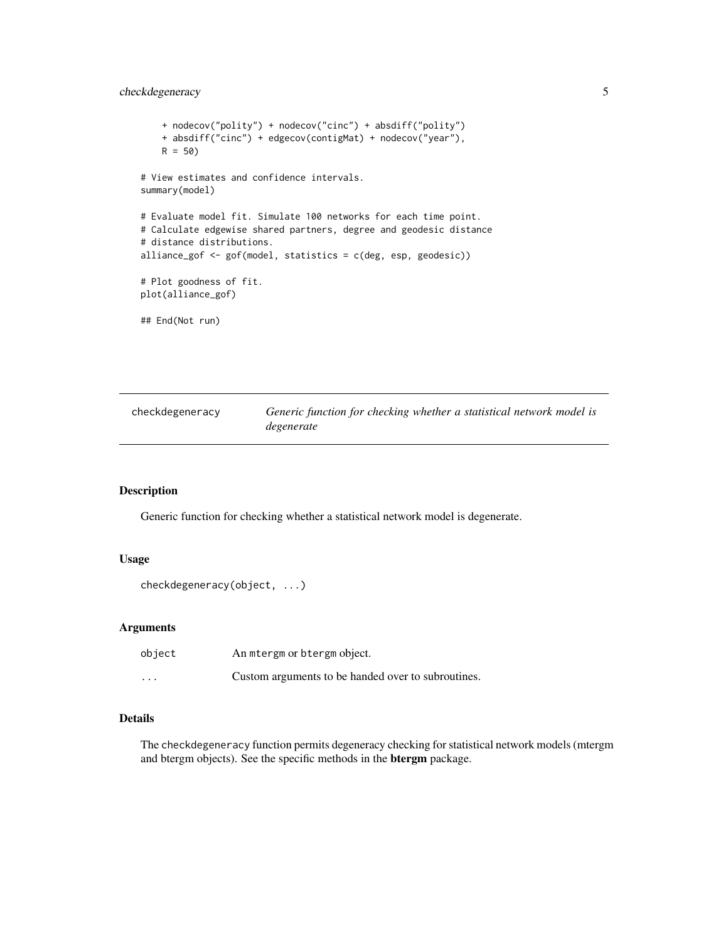# <span id="page-4-0"></span>checkdegeneracy 5

```
+ nodecov("polity") + nodecov("cinc") + absdiff("polity")
   + absdiff("cinc") + edgecov(contigMat) + nodecov("year"),
   R = 50# View estimates and confidence intervals.
summary(model)
# Evaluate model fit. Simulate 100 networks for each time point.
# Calculate edgewise shared partners, degree and geodesic distance
# distance distributions.
alliance_gof <- gof(model, statistics = c(deg, esp, geodesic))
# Plot goodness of fit.
plot(alliance_gof)
## End(Not run)
```

| checkdegeneracy | Generic function for checking whether a statistical network model is |
|-----------------|----------------------------------------------------------------------|
|                 | degenerate                                                           |

# Description

Generic function for checking whether a statistical network model is degenerate.

# Usage

```
checkdegeneracy(object, ...)
```
# Arguments

| object   | An mtergm or btergm object.                        |
|----------|----------------------------------------------------|
| $\cdots$ | Custom arguments to be handed over to subroutines. |

# Details

The checkdegeneracy function permits degeneracy checking for statistical network models (mtergm and btergm objects). See the specific methods in the btergm package.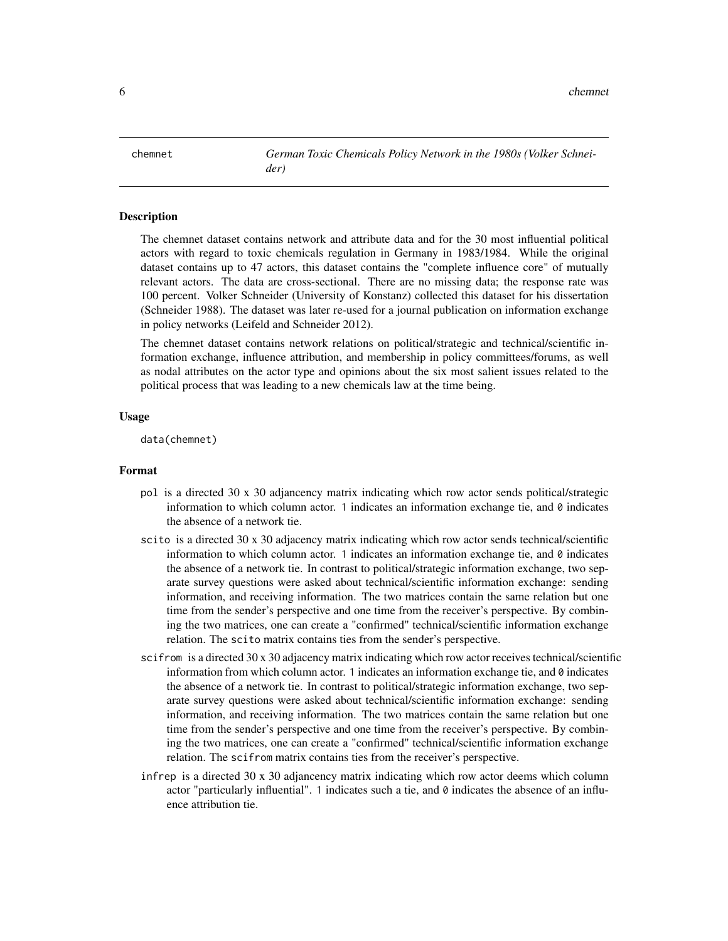<span id="page-5-0"></span>chemnet *German Toxic Chemicals Policy Network in the 1980s (Volker Schneider)*

# Description

The chemnet dataset contains network and attribute data and for the 30 most influential political actors with regard to toxic chemicals regulation in Germany in 1983/1984. While the original dataset contains up to 47 actors, this dataset contains the "complete influence core" of mutually relevant actors. The data are cross-sectional. There are no missing data; the response rate was 100 percent. Volker Schneider (University of Konstanz) collected this dataset for his dissertation (Schneider 1988). The dataset was later re-used for a journal publication on information exchange in policy networks (Leifeld and Schneider 2012).

The chemnet dataset contains network relations on political/strategic and technical/scientific information exchange, influence attribution, and membership in policy committees/forums, as well as nodal attributes on the actor type and opinions about the six most salient issues related to the political process that was leading to a new chemicals law at the time being.

# Usage

data(chemnet)

### Format

- pol is a directed 30 x 30 adjancency matrix indicating which row actor sends political/strategic information to which column actor. 1 indicates an information exchange tie, and  $0$  indicates the absence of a network tie.
- scito is a directed 30 x 30 adjacency matrix indicating which row actor sends technical/scientific information to which column actor. 1 indicates an information exchange tie, and  $\theta$  indicates the absence of a network tie. In contrast to political/strategic information exchange, two separate survey questions were asked about technical/scientific information exchange: sending information, and receiving information. The two matrices contain the same relation but one time from the sender's perspective and one time from the receiver's perspective. By combining the two matrices, one can create a "confirmed" technical/scientific information exchange relation. The scito matrix contains ties from the sender's perspective.
- scifrom is a directed 30 x 30 adjacency matrix indicating which row actor receives technical/scientific information from which column actor. 1 indicates an information exchange tie, and 0 indicates the absence of a network tie. In contrast to political/strategic information exchange, two separate survey questions were asked about technical/scientific information exchange: sending information, and receiving information. The two matrices contain the same relation but one time from the sender's perspective and one time from the receiver's perspective. By combining the two matrices, one can create a "confirmed" technical/scientific information exchange relation. The scifrom matrix contains ties from the receiver's perspective.
- infrep is a directed 30 x 30 adjancency matrix indicating which row actor deems which column actor "particularly influential". 1 indicates such a tie, and  $\theta$  indicates the absence of an influence attribution tie.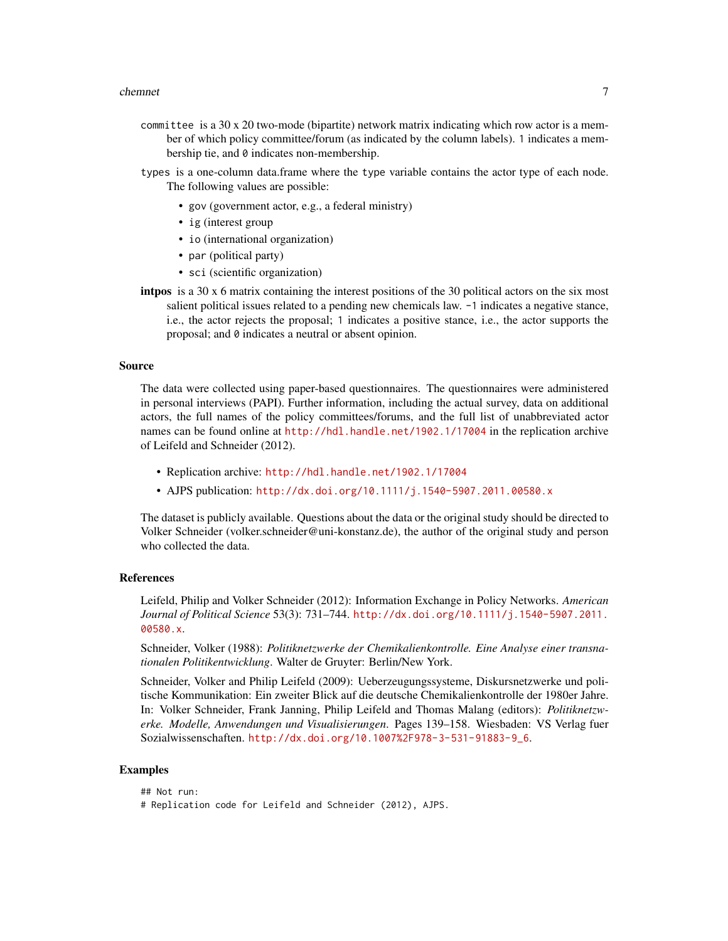#### chemnet 7

- committee is a  $30 \times 20$  two-mode (bipartite) network matrix indicating which row actor is a member of which policy committee/forum (as indicated by the column labels). 1 indicates a membership tie, and 0 indicates non-membership.
- types is a one-column data.frame where the type variable contains the actor type of each node. The following values are possible:
	- gov (government actor, e.g., a federal ministry)
	- ig (interest group
	- io (international organization)
	- par (political party)
	- sci (scientific organization)
- intpos is a 30 x 6 matrix containing the interest positions of the 30 political actors on the six most salient political issues related to a pending new chemicals law. -1 indicates a negative stance, i.e., the actor rejects the proposal; 1 indicates a positive stance, i.e., the actor supports the proposal; and 0 indicates a neutral or absent opinion.

#### Source

The data were collected using paper-based questionnaires. The questionnaires were administered in personal interviews (PAPI). Further information, including the actual survey, data on additional actors, the full names of the policy committees/forums, and the full list of unabbreviated actor names can be found online at <http://hdl.handle.net/1902.1/17004> in the replication archive of Leifeld and Schneider (2012).

- Replication archive: <http://hdl.handle.net/1902.1/17004>
- AJPS publication: <http://dx.doi.org/10.1111/j.1540-5907.2011.00580.x>

The dataset is publicly available. Questions about the data or the original study should be directed to Volker Schneider (volker.schneider@uni-konstanz.de), the author of the original study and person who collected the data.

# References

Leifeld, Philip and Volker Schneider (2012): Information Exchange in Policy Networks. *American Journal of Political Science* 53(3): 731–744. [http://dx.doi.org/10.1111/j.1540-5907.2011.](http://dx.doi.org/10.1111/j.1540-5907.2011.00580.x) [00580.x](http://dx.doi.org/10.1111/j.1540-5907.2011.00580.x).

Schneider, Volker (1988): *Politiknetzwerke der Chemikalienkontrolle. Eine Analyse einer transnationalen Politikentwicklung*. Walter de Gruyter: Berlin/New York.

Schneider, Volker and Philip Leifeld (2009): Ueberzeugungssysteme, Diskursnetzwerke und politische Kommunikation: Ein zweiter Blick auf die deutsche Chemikalienkontrolle der 1980er Jahre. In: Volker Schneider, Frank Janning, Philip Leifeld and Thomas Malang (editors): *Politiknetzwerke. Modelle, Anwendungen und Visualisierungen*. Pages 139–158. Wiesbaden: VS Verlag fuer Sozialwissenschaften. [http://dx.doi.org/10.1007%2F978-3-531-91883-9\\_6](http://dx.doi.org/10.1007%2F978-3-531-91883-9_6).

# Examples

```
## Not run:
# Replication code for Leifeld and Schneider (2012), AJPS.
```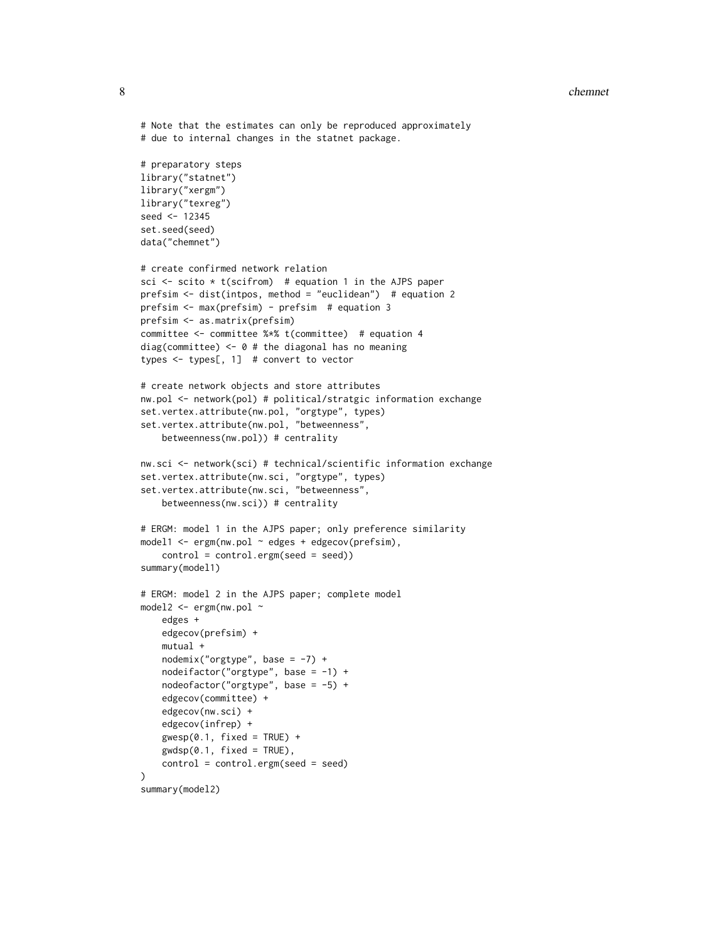#### 8 chemnet with the contract of the contract of the contract of the contract of the chemnet of the chemnet of the chemnet of the chemnet of the chemnet of the chemnet of the chemnet of the chemnet of the chemnet of the chem

```
# Note that the estimates can only be reproduced approximately
# due to internal changes in the statnet package.
# preparatory steps
library("statnet")
library("xergm")
library("texreg")
seed <- 12345
set.seed(seed)
data("chemnet")
# create confirmed network relation
sci \le scito \star t(scifrom) # equation 1 in the AJPS paper
prefsim <- dist(intpos, method = "euclidean") # equation 2
prefsim <- max(prefsim) - prefsim # equation 3
prefsim <- as.matrix(prefsim)
committee <- committee %*% t(committee) # equation 4
diag(committee) <- 0 # the diagonal has no meaning
types <- types[, 1] # convert to vector
# create network objects and store attributes
nw.pol <- network(pol) # political/stratgic information exchange
set.vertex.attribute(nw.pol, "orgtype", types)
set.vertex.attribute(nw.pol, "betweenness",
    betweenness(nw.pol)) # centrality
nw.sci <- network(sci) # technical/scientific information exchange
set.vertex.attribute(nw.sci, "orgtype", types)
set.vertex.attribute(nw.sci, "betweenness",
    betweenness(nw.sci)) # centrality
# ERGM: model 1 in the AJPS paper; only preference similarity
model1 \leq -ergm(nw.pol \sim edges + edgecov(prefsim),control = control.ergm(seed = seed))
summary(model1)
# ERGM: model 2 in the AJPS paper; complete model
model2 <- ergm(nw.pol ~
    edges +
    edgecov(prefsim) +
    mutual +
    nodemix("orgtype", base = -7) +nodeifactor("orgtype", base = -1) +
    nodeofactor("orgtype", base = -5) +
    edgecov(committee) +
    edgecov(nw.sci) +
    edgecov(infrep) +
    gwesp(0.1, fixed = TRUE) +
    gwdsp(0.1, fixed = TRUE),
   control = control.ergm(seed = seed)
\lambdasummary(model2)
```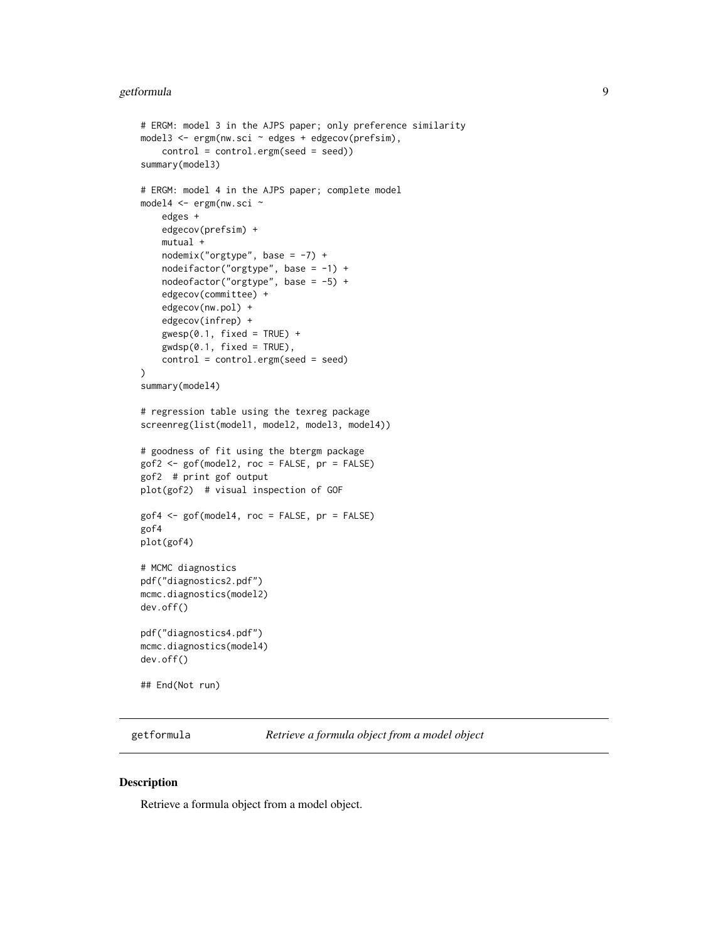#### <span id="page-8-0"></span>getformula 9

```
# ERGM: model 3 in the AJPS paper; only preference similarity
model3 <- ergm(nw.sci ~ edges + edgecov(prefsim),
    control = control.ergm(seed = seed))
summary(model3)
# ERGM: model 4 in the AJPS paper; complete model
model4 <- ergm(nw.sci ~
    edges +
   edgecov(prefsim) +
   mutual +
   nodenix("orgtype", base = -7) +nodeifactor("orgtype", base = -1) +nodeofactor("orgtype", base = -5) +
    edgecov(committee) +
    edgecov(nw.pol) +
    edgecov(infrep) +
    gwesp(0.1, fixed = TRUE) +
    gwdsp(0.1, fixed = TRUE),
    control = control.ergm(seed = seed)
\mathcal{L}summary(model4)
# regression table using the texreg package
screenreg(list(model1, model2, model3, model4))
# goodness of fit using the btergm package
gof2 <- gof(model2, roc = FALSE, pr = FALSE)
gof2 # print gof output
plot(gof2) # visual inspection of GOF
gof4 <- gof(model4, roc = FALSE, pr = FALSE)
gof4
plot(gof4)
# MCMC diagnostics
pdf("diagnostics2.pdf")
mcmc.diagnostics(model2)
dev.off()
pdf("diagnostics4.pdf")
mcmc.diagnostics(model4)
dev.off()
## End(Not run)
```
getformula *Retrieve a formula object from a model object*

#### Description

Retrieve a formula object from a model object.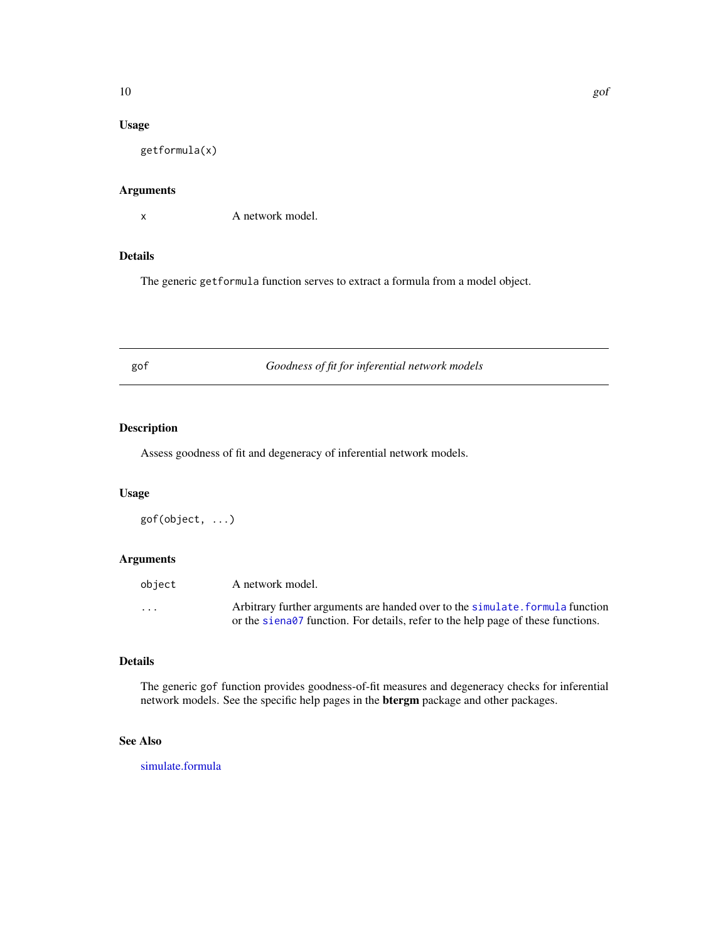# <span id="page-9-0"></span>Usage

getformula(x)

# Arguments

x A network model.

# Details

The generic getformula function serves to extract a formula from a model object.

gof *Goodness of fit for inferential network models*

# Description

Assess goodness of fit and degeneracy of inferential network models.

# Usage

gof(object, ...)

# Arguments

| obiect                  | A network model.                                                                 |
|-------------------------|----------------------------------------------------------------------------------|
| $\cdot$ $\cdot$ $\cdot$ | Arbitrary further arguments are handed over to the simulate. formula function    |
|                         | or the siena07 function. For details, refer to the help page of these functions. |

# Details

The generic gof function provides goodness-of-fit measures and degeneracy checks for inferential network models. See the specific help pages in the btergm package and other packages.

# See Also

[simulate.formula](#page-0-0)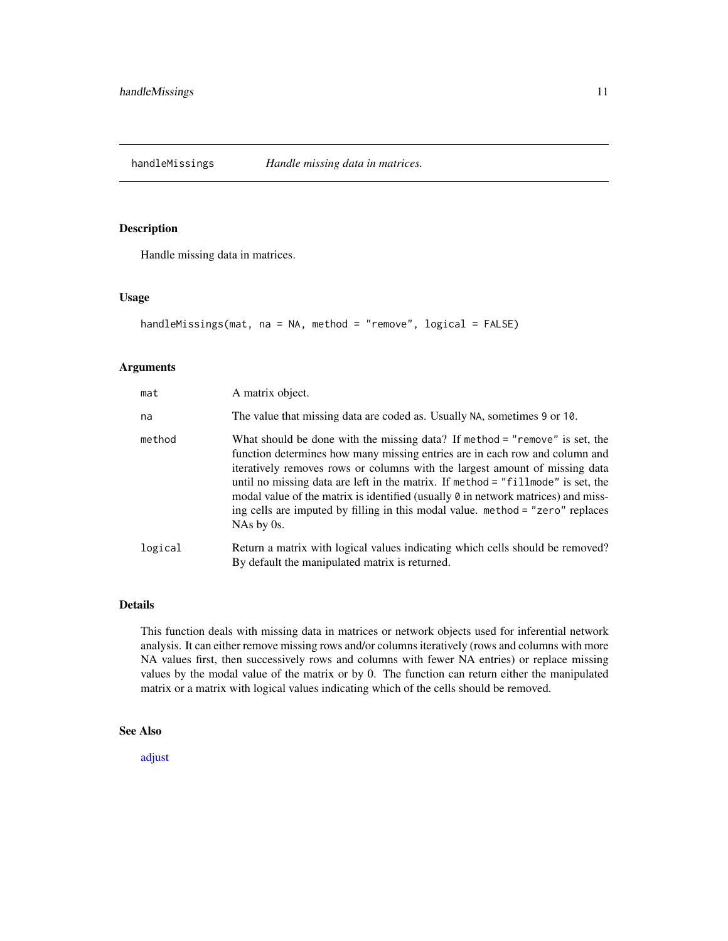<span id="page-10-1"></span><span id="page-10-0"></span>handleMissings *Handle missing data in matrices.*

# Description

Handle missing data in matrices.

#### Usage

```
handleMissings(mat, na = NA, method = "remove", logical = FALSE)
```
# Arguments

| mat     | A matrix object.                                                                                                                                                                                                                                                                                                                                                                                                                                                                                                          |
|---------|---------------------------------------------------------------------------------------------------------------------------------------------------------------------------------------------------------------------------------------------------------------------------------------------------------------------------------------------------------------------------------------------------------------------------------------------------------------------------------------------------------------------------|
| na      | The value that missing data are coded as. Usually NA, sometimes 9 or 10.                                                                                                                                                                                                                                                                                                                                                                                                                                                  |
| method  | What should be done with the missing data? If method = "remove" is set, the<br>function determines how many missing entries are in each row and column and<br>iteratively removes rows or columns with the largest amount of missing data<br>until no missing data are left in the matrix. If method = "fillmode" is set, the<br>modal value of the matrix is identified (usually $\theta$ in network matrices) and miss-<br>ing cells are imputed by filling in this modal value. method = "zero" replaces<br>NAs by 0s. |
| logical | Return a matrix with logical values indicating which cells should be removed?<br>By default the manipulated matrix is returned.                                                                                                                                                                                                                                                                                                                                                                                           |

# Details

This function deals with missing data in matrices or network objects used for inferential network analysis. It can either remove missing rows and/or columns iteratively (rows and columns with more NA values first, then successively rows and columns with fewer NA entries) or replace missing values by the modal value of the matrix or by 0. The function can return either the manipulated matrix or a matrix with logical values indicating which of the cells should be removed.

# See Also

[adjust](#page-1-1)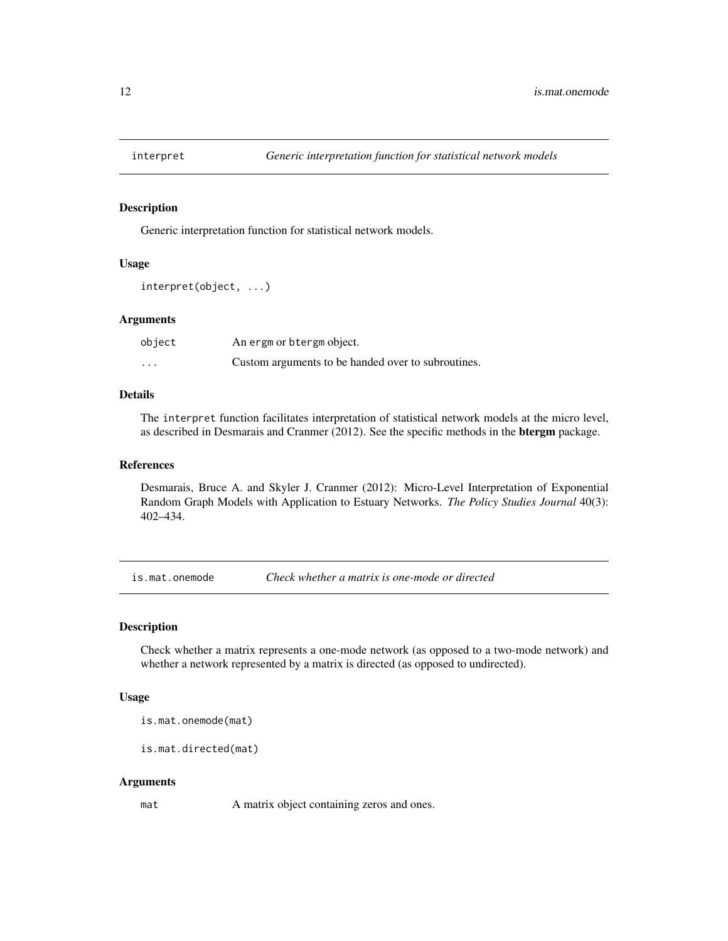<span id="page-11-0"></span>

# Description

Generic interpretation function for statistical network models.

#### Usage

```
interpret(object, ...)
```
# Arguments

| object   | An ergm or btergm object.                          |
|----------|----------------------------------------------------|
| $\cdots$ | Custom arguments to be handed over to subroutines. |

#### Details

The interpret function facilitates interpretation of statistical network models at the micro level, as described in Desmarais and Cranmer (2012). See the specific methods in the btergm package.

# References

Desmarais, Bruce A. and Skyler J. Cranmer (2012): Micro-Level Interpretation of Exponential Random Graph Models with Application to Estuary Networks. *The Policy Studies Journal* 40(3): 402–434.

is.mat.onemode *Check whether a matrix is one-mode or directed*

# Description

Check whether a matrix represents a one-mode network (as opposed to a two-mode network) and whether a network represented by a matrix is directed (as opposed to undirected).

#### Usage

is.mat.onemode(mat)

is.mat.directed(mat)

#### Arguments

mat A matrix object containing zeros and ones.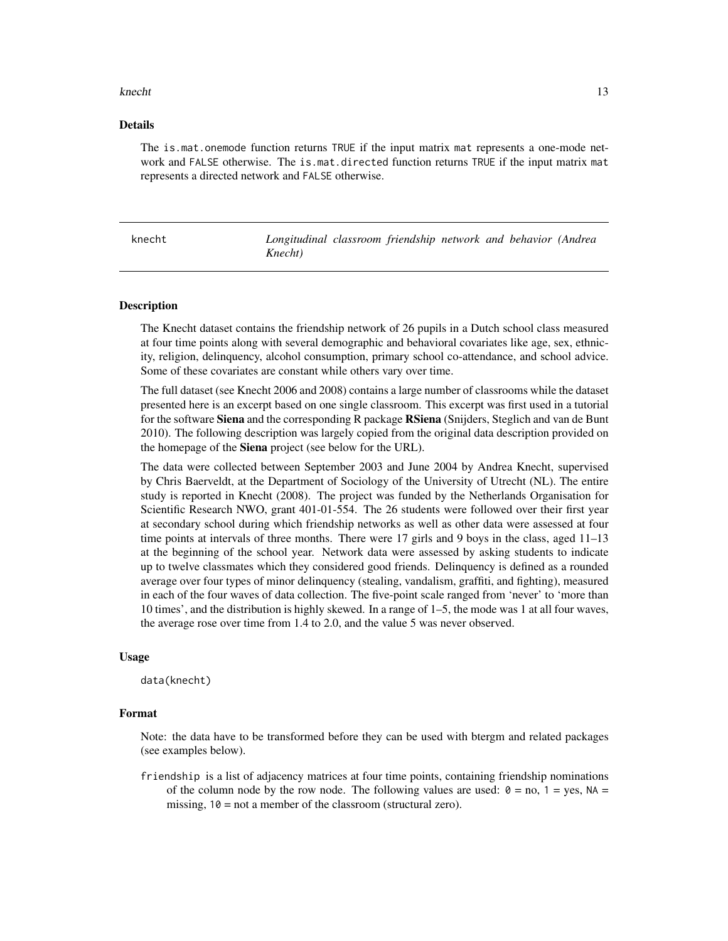#### <span id="page-12-0"></span>knecht and the state of the state of the state of the state of the state of the state of the state of the state of the state of the state of the state of the state of the state of the state of the state of the state of the

# Details

The is.mat.onemode function returns TRUE if the input matrix mat represents a one-mode network and FALSE otherwise. The is.mat.directed function returns TRUE if the input matrix mat represents a directed network and FALSE otherwise.

knecht *Longitudinal classroom friendship network and behavior (Andrea Knecht)*

# **Description**

The Knecht dataset contains the friendship network of 26 pupils in a Dutch school class measured at four time points along with several demographic and behavioral covariates like age, sex, ethnicity, religion, delinquency, alcohol consumption, primary school co-attendance, and school advice. Some of these covariates are constant while others vary over time.

The full dataset (see Knecht 2006 and 2008) contains a large number of classrooms while the dataset presented here is an excerpt based on one single classroom. This excerpt was first used in a tutorial for the software **Siena** and the corresponding R package **RSiena** (Snijders, Steglich and van de Bunt 2010). The following description was largely copied from the original data description provided on the homepage of the **Siena** project (see below for the URL).

The data were collected between September 2003 and June 2004 by Andrea Knecht, supervised by Chris Baerveldt, at the Department of Sociology of the University of Utrecht (NL). The entire study is reported in Knecht (2008). The project was funded by the Netherlands Organisation for Scientific Research NWO, grant 401-01-554. The 26 students were followed over their first year at secondary school during which friendship networks as well as other data were assessed at four time points at intervals of three months. There were 17 girls and 9 boys in the class, aged 11–13 at the beginning of the school year. Network data were assessed by asking students to indicate up to twelve classmates which they considered good friends. Delinquency is defined as a rounded average over four types of minor delinquency (stealing, vandalism, graffiti, and fighting), measured in each of the four waves of data collection. The five-point scale ranged from 'never' to 'more than 10 times', and the distribution is highly skewed. In a range of 1–5, the mode was 1 at all four waves, the average rose over time from 1.4 to 2.0, and the value 5 was never observed.

#### Usage

data(knecht)

# Format

Note: the data have to be transformed before they can be used with btergm and related packages (see examples below).

friendship is a list of adjacency matrices at four time points, containing friendship nominations of the column node by the row node. The following values are used:  $\theta =$  no,  $1 =$  yes, NA = missing,  $10 = not a member of the classroom (structural zero).$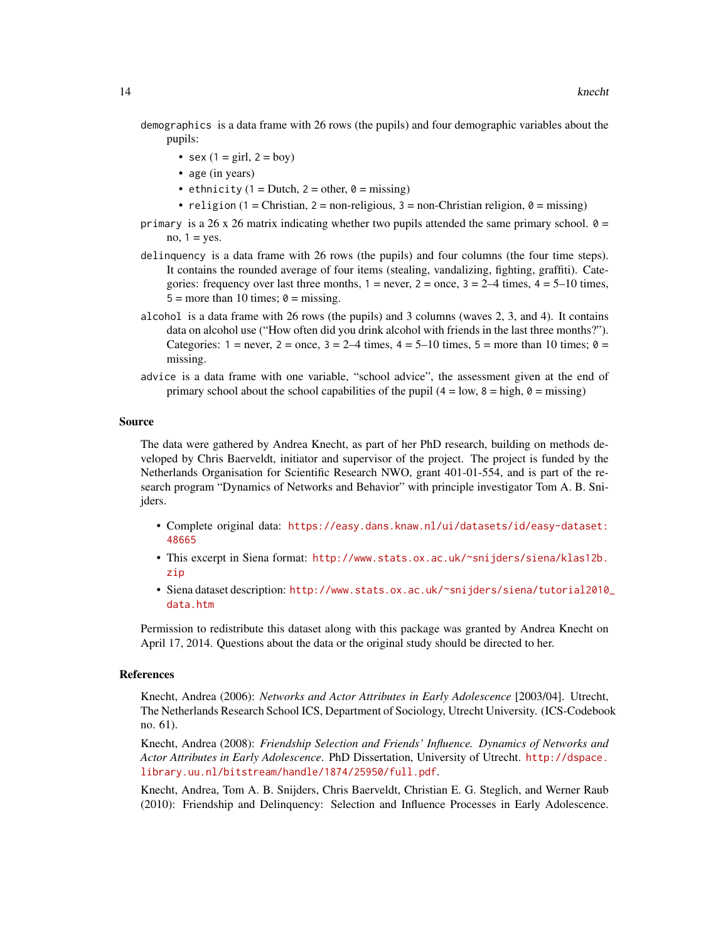demographics is a data frame with 26 rows (the pupils) and four demographic variables about the pupils:

- sex  $(1 = \text{girl}, 2 = \text{boy})$
- age (in years)
- ethnicity (1 = Dutch, 2 = other,  $\theta$  = missing)
- religion (1 = Christian, 2 = non-religious, 3 = non-Christian religion,  $\theta$  = missing)
- primary is a 26 x 26 matrix indicating whether two pupils attended the same primary school.  $\theta$  = no,  $1 = yes$ .
- delinquency is a data frame with 26 rows (the pupils) and four columns (the four time steps). It contains the rounded average of four items (stealing, vandalizing, fighting, graffiti). Categories: frequency over last three months,  $1 =$  never,  $2 =$  once,  $3 = 2-4$  times,  $4 = 5-10$  times,  $5 =$  more than 10 times;  $\theta =$  missing.
- alcohol is a data frame with 26 rows (the pupils) and 3 columns (waves 2, 3, and 4). It contains data on alcohol use ("How often did you drink alcohol with friends in the last three months?"). Categories:  $1 =$  never,  $2 =$  once,  $3 = 2-4$  times,  $4 = 5-10$  times,  $5 =$  more than 10 times;  $\phi =$ missing.
- advice is a data frame with one variable, "school advice", the assessment given at the end of primary school about the school capabilities of the pupil ( $4 = \text{low}, 8 = \text{high}, 0 = \text{missing}$ )

#### Source

The data were gathered by Andrea Knecht, as part of her PhD research, building on methods developed by Chris Baerveldt, initiator and supervisor of the project. The project is funded by the Netherlands Organisation for Scientific Research NWO, grant 401-01-554, and is part of the research program "Dynamics of Networks and Behavior" with principle investigator Tom A. B. Snijders.

- Complete original data: [https://easy.dans.knaw.nl/ui/datasets/id/easy-dataset:](https://easy.dans.knaw.nl/ui/datasets/id/easy-dataset:48665) [48665](https://easy.dans.knaw.nl/ui/datasets/id/easy-dataset:48665)
- This excerpt in Siena format: [http://www.stats.ox.ac.uk/~snijders/siena/klas12b.](http://www.stats.ox.ac.uk/~snijders/siena/klas12b.zip) [zip](http://www.stats.ox.ac.uk/~snijders/siena/klas12b.zip)
- Siena dataset description: [http://www.stats.ox.ac.uk/~snijders/siena/tutorial2010\\_](http://www.stats.ox.ac.uk/~snijders/siena/tutorial2010_data.htm) [data.htm](http://www.stats.ox.ac.uk/~snijders/siena/tutorial2010_data.htm)

Permission to redistribute this dataset along with this package was granted by Andrea Knecht on April 17, 2014. Questions about the data or the original study should be directed to her.

# References

Knecht, Andrea (2006): *Networks and Actor Attributes in Early Adolescence* [2003/04]. Utrecht, The Netherlands Research School ICS, Department of Sociology, Utrecht University. (ICS-Codebook no. 61).

Knecht, Andrea (2008): *Friendship Selection and Friends' Influence. Dynamics of Networks and Actor Attributes in Early Adolescence*. PhD Dissertation, University of Utrecht. [http://dspace.](http://dspace.library.uu.nl/bitstream/handle/1874/25950/full.pdf) [library.uu.nl/bitstream/handle/1874/25950/full.pdf](http://dspace.library.uu.nl/bitstream/handle/1874/25950/full.pdf).

Knecht, Andrea, Tom A. B. Snijders, Chris Baerveldt, Christian E. G. Steglich, and Werner Raub (2010): Friendship and Delinquency: Selection and Influence Processes in Early Adolescence.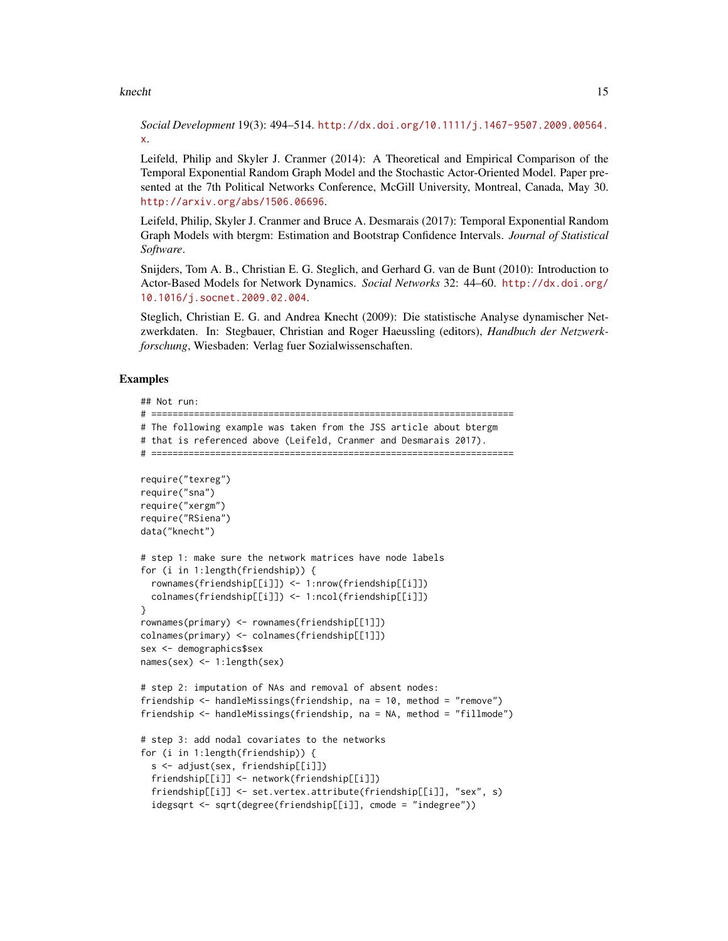#### knecht and the state of the state of the state of the state of the state of the state of the state of the state of the state of the state of the state of the state of the state of the state of the state of the state of the

*Social Development* 19(3): 494–514. [http://dx.doi.org/10.1111/j.1467-9507.2009.00564.](http://dx.doi.org/10.1111/j.1467-9507.2009.00564.x) [x](http://dx.doi.org/10.1111/j.1467-9507.2009.00564.x).

Leifeld, Philip and Skyler J. Cranmer (2014): A Theoretical and Empirical Comparison of the Temporal Exponential Random Graph Model and the Stochastic Actor-Oriented Model. Paper presented at the 7th Political Networks Conference, McGill University, Montreal, Canada, May 30. <http://arxiv.org/abs/1506.06696>.

Leifeld, Philip, Skyler J. Cranmer and Bruce A. Desmarais (2017): Temporal Exponential Random Graph Models with btergm: Estimation and Bootstrap Confidence Intervals. *Journal of Statistical Software*.

Snijders, Tom A. B., Christian E. G. Steglich, and Gerhard G. van de Bunt (2010): Introduction to Actor-Based Models for Network Dynamics. *Social Networks* 32: 44–60. [http://dx.doi.org/](http://dx.doi.org/10.1016/j.socnet.2009.02.004) [10.1016/j.socnet.2009.02.004](http://dx.doi.org/10.1016/j.socnet.2009.02.004).

Steglich, Christian E. G. and Andrea Knecht (2009): Die statistische Analyse dynamischer Netzwerkdaten. In: Stegbauer, Christian and Roger Haeussling (editors), *Handbuch der Netzwerkforschung*, Wiesbaden: Verlag fuer Sozialwissenschaften.

# Examples

## Not run:

```
# ====================================================================
# The following example was taken from the JSS article about btergm
```

```
# that is referenced above (Leifeld, Cranmer and Desmarais 2017).
```

```
# ====================================================================
```

```
require("texreg")
require("sna")
require("xergm")
require("RSiena")
data("knecht")
# step 1: make sure the network matrices have node labels
for (i in 1:length(friendship)) {
 rownames(friendship[[i]]) <- 1:nrow(friendship[[i]])
 colnames(friendship[[i]]) <- 1:ncol(friendship[[i]])
}
rownames(primary) <- rownames(friendship[[1]])
colnames(primary) <- colnames(friendship[[1]])
sex <- demographics$sex
names(sex) <- 1:length(sex)
# step 2: imputation of NAs and removal of absent nodes:
friendship <- handleMissings(friendship, na = 10, method = "remove")
friendship <- handleMissings(friendship, na = NA, method = "fillmode")
# step 3: add nodal covariates to the networks
for (i in 1:length(friendship)) {
 s <- adjust(sex, friendship[[i]])
 friendship[[i]] <- network(friendship[[i]])
 friendship[[i]] <- set.vertex.attribute(friendship[[i]], "sex", s)
  idegsqrt <- sqrt(degree(friendship[[i]], cmode = "indegree"))
```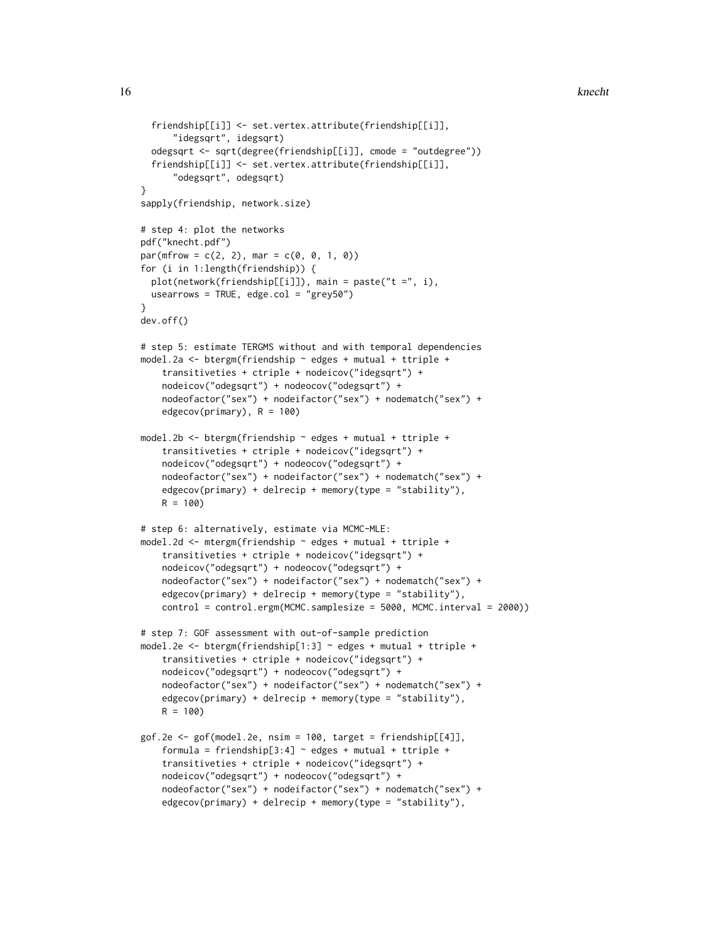```
friendship[[i]] <- set.vertex.attribute(friendship[[i]],
      "idegsqrt", idegsqrt)
 odegsqrt <- sqrt(degree(friendship[[i]], cmode = "outdegree"))
 friendship[[i]] <- set.vertex.attribute(friendship[[i]],
      "odegsqrt", odegsqrt)
}
sapply(friendship, network.size)
# step 4: plot the networks
pdf("knecht.pdf")
par(mfrow = c(2, 2), mar = c(0, 0, 1, 0))for (i in 1:length(friendship)) {
 plot(network(friendship[[i]]), main = paste("t =", i),
 usearrows = TRUE, edge.col = "grey50")
}
dev.off()
# step 5: estimate TERGMS without and with temporal dependencies
model.2a <- btergm(friendship ~ edges + mutual + ttriple +
    transitiveties + ctriple + nodeicov("idegsqrt") +
    nodeicov("odegsqrt") + nodeocov("odegsqrt") +
    nodeofactor("sex") + nodeifactor("sex") + nodematch("sex") +
    edgecov(primary), R = 100)
model.2b <- btergm(friendship ~ edges + mutual + ttriple +
    transitiveties + ctriple + nodeicov("idegsqrt") +
    nodeicov("odegsqrt") + nodeocov("odegsqrt") +
    nodeofactor("sex") + nodeifactor("sex") + nodematch("sex") +
    edgecov(primary) + delrecip + memory(type = "stability"),
   R = 100# step 6: alternatively, estimate via MCMC-MLE:
model.2d <- mtergm(friendship ~ edges + mutual + ttriple +
    transitiveties + ctriple + nodeicov("idegsqrt") +
    nodeicov("odegsqrt") + nodeocov("odegsqrt") +
    nodeofactor("sex") + nodeifactor("sex") + nodematch("sex") +
    edgecov(primary) + delrecip + memory(type = "stability"),
    control = control.ergm(MCMC.samplesize = 5000, MCMC.interval = 2000))
# step 7: GOF assessment with out-of-sample prediction
model.2e <- btergm(friendship[1:3] ~ edges + mutual + ttriple +
    transitiveties + ctriple + nodeicov("idegsqrt") +
    nodeicov("odegsqrt") + nodeocov("odegsqrt") +
    nodeofactor("sex") + nodeifactor("sex") + nodematch("sex") +
    edgecov(primary) + delrecip + memory(type = "stability"),R = 100gof.2e \leq gof(model.2e, nsim = 100, target = friendship[[4]],
    formula = friendship[3:4] \sim edges + mutual + ttriple +
    transitiveties + ctriple + nodeicov("idegsqrt") +
    nodeicov("odegsqrt") + nodeocov("odegsqrt") +
    nodeofactor("sex") + nodeifactor("sex") + nodematch("sex") +
    edgecov(primary) + delrecip + memory(type = "stability"),
```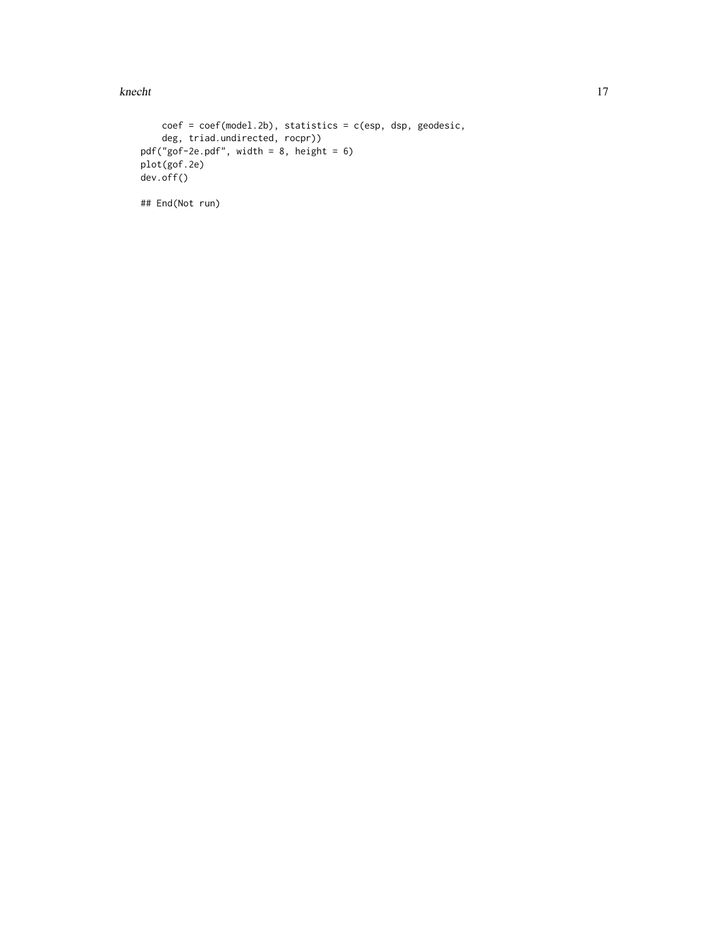### knecht and the state of the state of the state of the state of the state of the state of the state of the state of the state of the state of the state of the state of the state of the state of the state of the state of the

```
coef = coef(model.2b), statistics = c(esp, dsp, geodesic,
    deg, triad.undirected, rocpr))
pdf("gof-2e.pdf", width = 8, height = 6)
plot(gof.2e)
dev.off()
```
## End(Not run)